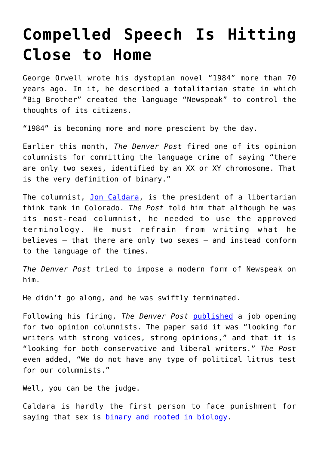## **[Compelled Speech Is Hitting](https://intellectualtakeout.org/2020/02/compelled-speech-is-hitting-close-to-home/) [Close to Home](https://intellectualtakeout.org/2020/02/compelled-speech-is-hitting-close-to-home/)**

George Orwell wrote his dystopian novel "1984" more than 70 years ago. In it, he described a totalitarian state in which "Big Brother" created the language "Newspeak" to control the thoughts of its citizens.

"1984" is becoming more and more prescient by the day.

Earlier this month, *The Denver Post* fired one of its opinion columnists for committing the language crime of saying "there are only two sexes, identified by an XX or XY chromosome. That is the very definition of binary."

The columnist, [Jon Caldara,](https://freebeacon.com/politics/denver-post-columnist-fired-after-arguing-there-are-two-sexes/) is the president of a libertarian think tank in Colorado. *The Post* told him that although he was its most-read columnist, he needed to use the approved terminology. He must refrain from writing what he believes – that there are only two sexes – and instead conform to the language of the times.

*The Denver Post* tried to impose a modern form of Newspeak on him.

He didn't go along, and he was swiftly terminated.

Following his firing, *The Denver Post* [published](https://www.denverpost.com/2020/01/21/denver-post-opinion-columnist-job-hiring/) a job opening for two opinion columnists. The paper said it was "looking for writers with strong voices, strong opinions," and that it is "looking for both conservative and liberal writers." *The Post* even added, "We do not have any type of political litmus test for our columnists."

Well, you can be the judge.

Caldara is hardly the first person to face punishment for saying that sex is **[binary and rooted in biology](https://www.dailysignal.com/2017/08/23/sex-change-myth-trying-change-ones-sex-will-always-fail/)**.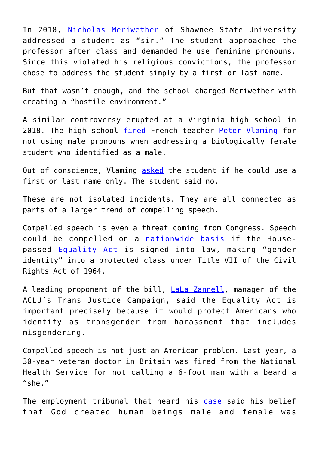In 2018, [Nicholas Meriwether](https://www.adflegal.org/detailspages/blog-details/allianceedge/2018/11/06/where-does-it-stop-professor-forced-to-use-female-pronouns-for-a-male-student?_ga=2.171416096.1010501434.1564414705-909668123.1530209064) of Shawnee State University addressed a student as "sir." The student approached the professor after class and demanded he use feminine pronouns. Since this violated his religious convictions, the professor chose to address the student simply by a first or last name.

But that wasn't enough, and the school charged Meriwether with creating a "hostile environment."

A similar controversy erupted at a Virginia high school in 2018. The high school [fired](https://www.dailysignal.com/2018/12/07/christian-teacher-fired-for-refusing-to-use-transgender-students-new-pronouns/) French teacher [Peter Vlaming](https://www.dailysignal.com/2019/10/07/teacher-fired-over-trans-pronouns-sues-school/) for not using male pronouns when addressing a biologically female student who identified as a male.

Out of conscience, Vlaming [asked](https://www.adflegal.org/detailspages/blog-details/allianceedge/2019/10/14/three-educators-standing-up-for-truth-in-schools) the student if he could use a first or last name only. The student said no.

These are not isolated incidents. They are all connected as parts of a larger trend of compelling speech.

Compelled speech is even a threat coming from Congress. Speech could be compelled on a [nationwide basis](https://www.dailysignal.com/2019/05/08/equality-act-is-about-civil-tyranny-not-civil-rights/) if the Housepassed [Equality Act](https://www.dailysignal.com/2019/03/14/7-reasons-why-the-equality-act-is-anything-but/) is signed into law, making "gender identity" into a protected class under Title VII of the Civil Rights Act of 1964.

A leading proponent of the bill, **LaLa Zannell**, manager of the ACLU's Trans Justice Campaign, said the Equality Act is important precisely because it would protect Americans who identify as transgender from harassment that includes misgendering.

Compelled speech is not just an American problem. Last year, a 30-year veteran doctor in Britain was fired from the National Health Service for not calling a 6-foot man with a beard a "she."

The employment tribunal that heard his [case](https://www.foxnews.com/faith-values/christian-doctor-fired-gender-pronoun) said his belief that God created human beings male and female was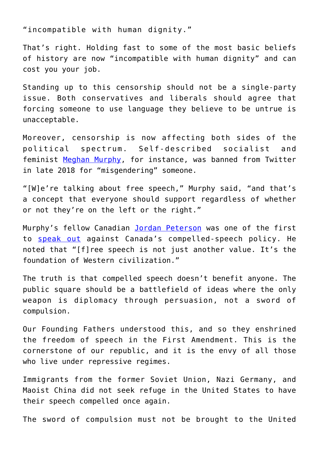"incompatible with human dignity."

That's right. Holding fast to some of the most basic beliefs of history are now "incompatible with human dignity" and can cost you your job.

Standing up to this censorship should not be a single-party issue. Both conservatives and liberals should agree that forcing someone to use language they believe to be untrue is unacceptable.

Moreover, censorship is now affecting both sides of the political spectrum. Self-described socialist and feminist [Meghan Murphy](https://www.washingtonexaminer.com/opinion/twitter-claims-it-wants-to-prevent-hateful-conduct-but-will-its-ban-on-meghan-murphy-help), for instance, was banned from Twitter in late 2018 for "misgendering" someone.

"[W]e're talking about free speech," Murphy said, "and that's a concept that everyone should support regardless of whether or not they're on the left or the right."

Murphy's fellow Canadian [Jordan Peterson](https://www.dailysignal.com/2019/04/04/jordan-peterson-unpacks-what-drives-the-left-and-how-to-restore-meaning/) was one of the first to [speak out](https://www.bbc.com/news/world-us-canada-37875695) against Canada's compelled-speech policy. He noted that "[f]ree speech is not just another value. It's the foundation of Western civilization."

The truth is that compelled speech doesn't benefit anyone. The public square should be a battlefield of ideas where the only weapon is diplomacy through persuasion, not a sword of compulsion.

Our Founding Fathers understood this, and so they enshrined the freedom of speech in the First Amendment. This is the cornerstone of our republic, and it is the envy of all those who live under repressive regimes.

Immigrants from the former Soviet Union, Nazi Germany, and Maoist China did not seek refuge in the United States to have their speech compelled once again.

The sword of compulsion must not be brought to the United